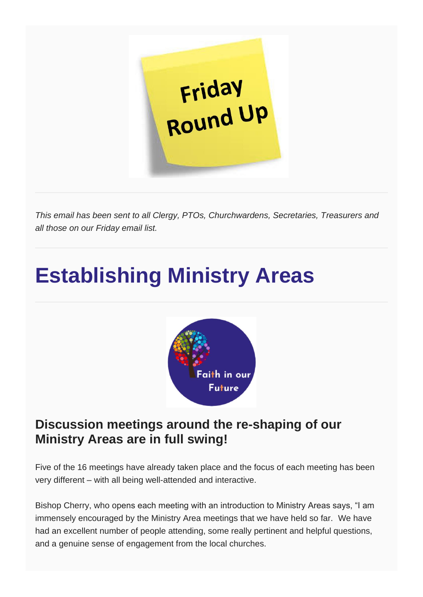

*This email has been sent to all Clergy, PTOs, Churchwardens, Secretaries, Treasurers and all those on our Friday email list.*

## **Establishing Ministry Areas**



#### **Discussion meetings around the re-shaping of our Ministry Areas are in full swing!**

Five of the 16 meetings have already taken place and the focus of each meeting has been very different – with all being well-attended and interactive.

Bishop Cherry, who opens each meeting with an introduction to Ministry Areas says, "I am immensely encouraged by the Ministry Area meetings that we have held so far. We have had an excellent number of people attending, some really pertinent and helpful questions, and a genuine sense of engagement from the local churches.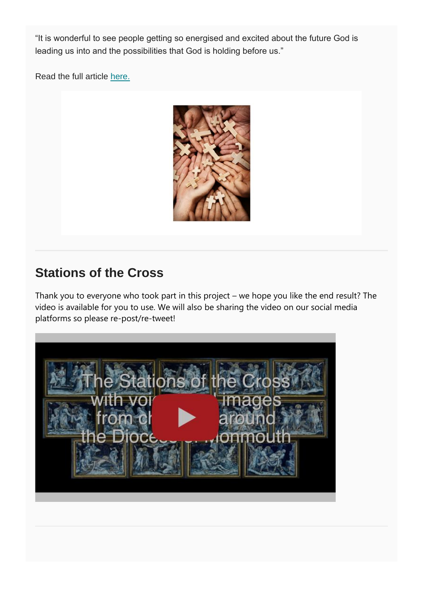"It is wonderful to see people getting so energised and excited about the future God is leading us into and the possibilities that God is holding before us."

Read the full article [here.](https://mcusercontent.com/b3afd1b0d0adb8d4215f17201/files/6bb042d6-c475-4324-9b9a-75b811159a73/MAs_Article.pdf)



#### **Stations of the Cross**

Thank you to everyone who took part in this project – we hope you like the end result? The video is available for you to use. We will also be sharing the video on our social media platforms so please re-post/re-tweet!

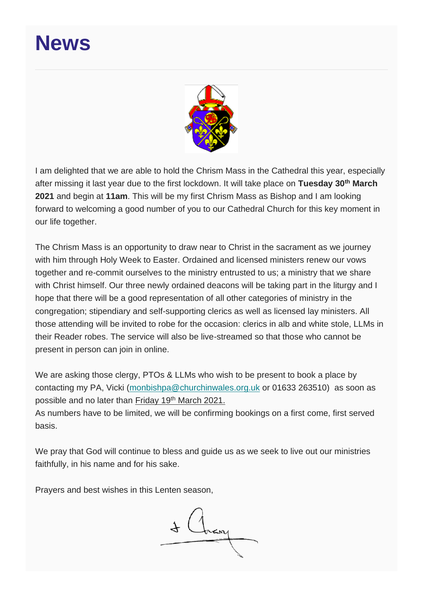### **News**



I am delighted that we are able to hold the Chrism Mass in the Cathedral this year, especially after missing it last year due to the first lockdown. It will take place on **Tuesday 30th March 2021** and begin at **11am**. This will be my first Chrism Mass as Bishop and I am looking forward to welcoming a good number of you to our Cathedral Church for this key moment in our life together.

The Chrism Mass is an opportunity to draw near to Christ in the sacrament as we journey with him through Holy Week to Easter. Ordained and licensed ministers renew our vows together and re-commit ourselves to the ministry entrusted to us; a ministry that we share with Christ himself. Our three newly ordained deacons will be taking part in the liturgy and I hope that there will be a good representation of all other categories of ministry in the congregation; stipendiary and self-supporting clerics as well as licensed lay ministers. All those attending will be invited to robe for the occasion: clerics in alb and white stole, LLMs in their Reader robes. The service will also be live-streamed so that those who cannot be present in person can join in online.

We are asking those clergy, PTOs & LLMs who wish to be present to book a place by contacting my PA, Vicki [\(monbishpa@churchinwales.org.uk](mailto:monbishpa@churchinwales.org.uk) or 01633 263510) as soon as possible and no later than Friday 19<sup>th</sup> March 2021.

As numbers have to be limited, we will be confirming bookings on a first come, first served basis.

We pray that God will continue to bless and guide us as we seek to live out our ministries faithfully, in his name and for his sake.

Prayers and best wishes in this Lenten season,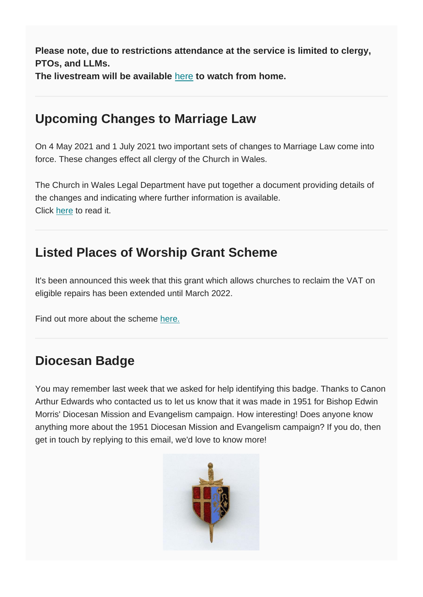**Please note, due to restrictions attendance at the service is limited to clergy, PTOs, and LLMs.**

**The livestream will be available** [here](https://www.youtube.com/watch?v=n96xzHLtshk) **to watch from home.**

#### **Upcoming Changes to Marriage Law**

On 4 May 2021 and 1 July 2021 two important sets of changes to Marriage Law come into force. These changes effect all clergy of the Church in Wales.

The Church in Wales Legal Department have put together a document providing details of the changes and indicating where further information is available. Click [here](https://churchinwales.us10.list-manage.com/track/click?u=b3afd1b0d0adb8d4215f17201&id=94a2500feb&e=87cdc3727a) to read it.

#### **Listed Places of Worship Grant Scheme**

It's been announced this week that this grant which allows churches to reclaim the VAT on eligible repairs has been extended until March 2022.

Find out more about the scheme [here.](http://www.lpwscheme.org.uk/)

#### **Diocesan Badge**

You may remember last week that we asked for help identifying this badge. Thanks to Canon Arthur Edwards who contacted us to let us know that it was made in 1951 for Bishop Edwin Morris' Diocesan Mission and Evangelism campaign. How interesting! Does anyone know anything more about the 1951 Diocesan Mission and Evangelism campaign? If you do, then get in touch by replying to this email, we'd love to know more!

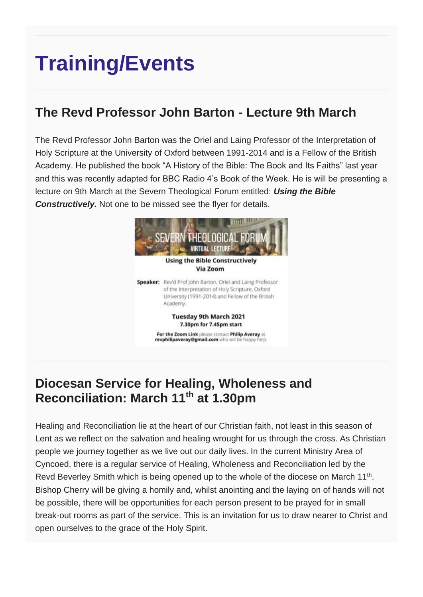# **Training/Events**

#### **The Revd Professor John Barton - Lecture 9th March**

The Revd Professor John Barton was the Oriel and Laing Professor of the Interpretation of Holy Scripture at the University of Oxford between 1991-2014 and is a Fellow of the British Academy. He published the book "A History of the Bible: The Book and Its Faiths" last year and this was recently adapted for BBC Radio 4's Book of the Week. He is will be presenting a lecture on 9th March at the Severn Theological Forum entitled: *Using the Bible Constructively.* Not one to be missed see the flyer for details.



#### **Diocesan Service for Healing, Wholeness and Reconciliation: March 11th at 1.30pm**

Healing and Reconciliation lie at the heart of our Christian faith, not least in this season of Lent as we reflect on the salvation and healing wrought for us through the cross. As Christian people we journey together as we live out our daily lives. In the current Ministry Area of Cyncoed, there is a regular service of Healing, Wholeness and Reconciliation led by the Revd Beverley Smith which is being opened up to the whole of the diocese on March 11<sup>th</sup>. Bishop Cherry will be giving a homily and, whilst anointing and the laying on of hands will not be possible, there will be opportunities for each person present to be prayed for in small break-out rooms as part of the service. This is an invitation for us to draw nearer to Christ and open ourselves to the grace of the Holy Spirit.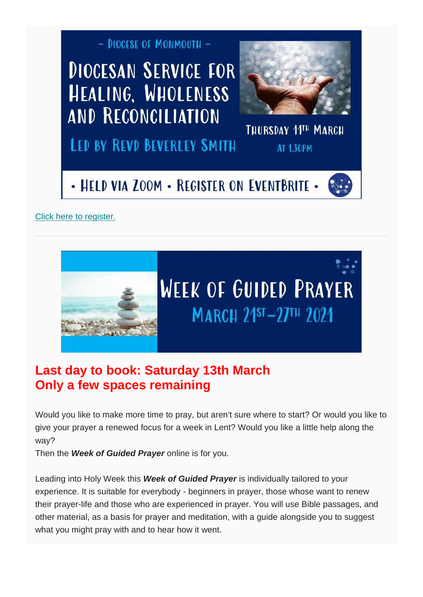

[Click here to register.](https://www.eventbrite.co.uk/e/diocesan-service-for-healing-wholeness-and-reconciliation-registration-143289808675)



#### **Last day to book: Saturday 13th March Only a few spaces remaining**

Would you like to make more time to pray, but aren't sure where to start? Or would you like to give your prayer a renewed focus for a week in Lent? Would you like a little help along the way?

Then the *Week of Guided Prayer* online is for you.

Leading into Holy Week this *Week of Guided Prayer* is individually tailored to your experience. It is suitable for everybody - beginners in prayer, those whose want to renew their prayer-life and those who are experienced in prayer. You will use Bible passages, and other material, as a basis for prayer and meditation, with a guide alongside you to suggest what you might pray with and to hear how it went.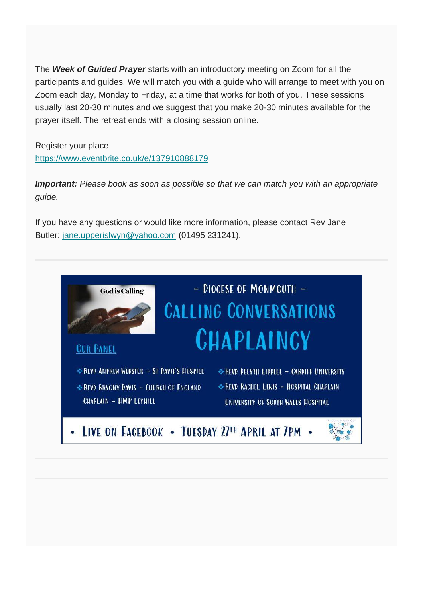The *Week of Guided Prayer* starts with an introductory meeting on Zoom for all the participants and guides. We will match you with a guide who will arrange to meet with you on Zoom each day, Monday to Friday, at a time that works for both of you. These sessions usually last 20-30 minutes and we suggest that you make 20-30 minutes available for the prayer itself. The retreat ends with a closing session online.

Register your place <https://www.eventbrite.co.uk/e/137910888179>

*Important: Please book as soon as possible so that we can match you with an appropriate guide.*

If you have any questions or would like more information, please contact Rev Jane Butler: [jane.upperislwyn@yahoo.com](mailto:jane.upperislwyn@yahoo.com) (01495 231241).

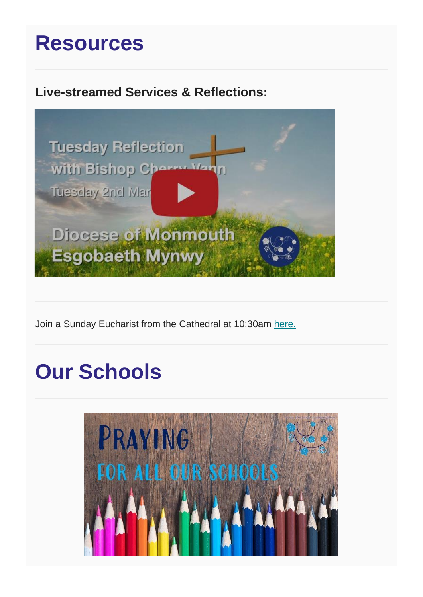### **Resources**

#### **Live-streamed Services & Reflections:**



Join a Sunday Eucharist from the Cathedral at 10:30am [here.](https://www.youtube.com/watch?v=VC4HRYLCEEY)

## **Our Schools**